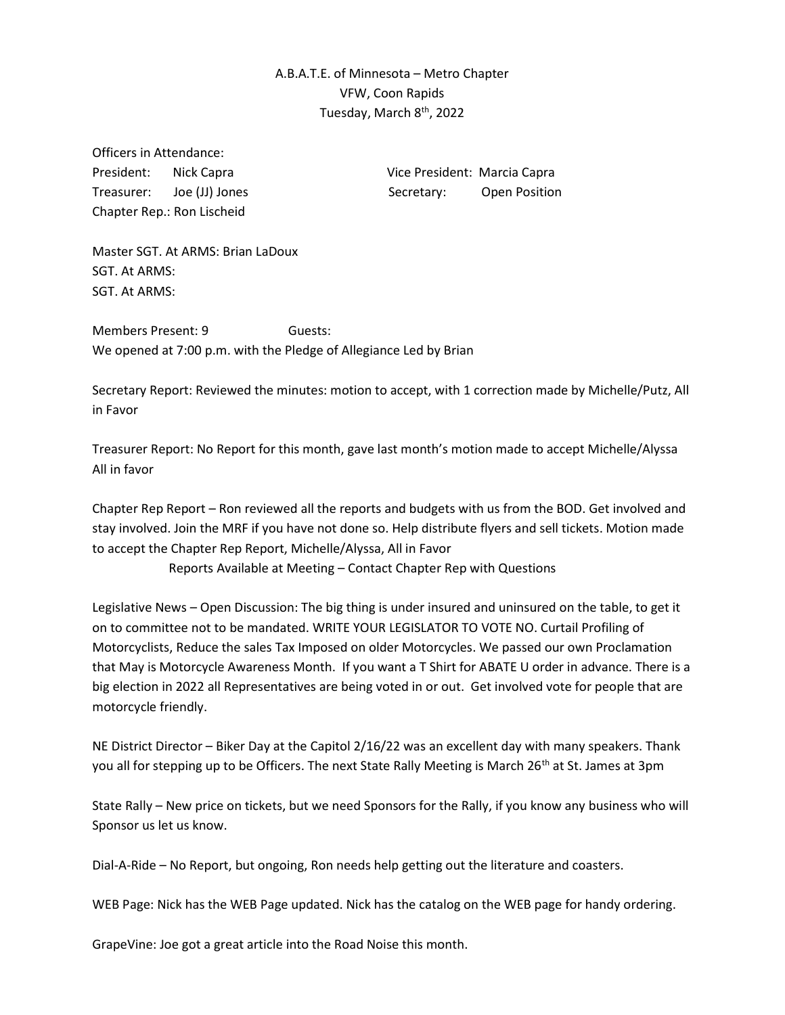## A.B.A.T.E. of Minnesota – Metro Chapter VFW, Coon Rapids Tuesday, March 8<sup>th</sup>, 2022

Officers in Attendance: Chapter Rep.: Ron Lischeid

President: Nick Capra Vice President: Marcia Capra Treasurer: Joe (JJ) Jones Secretary: Open Position

Master SGT. At ARMS: Brian LaDoux SGT. At ARMS: SGT. At ARMS:

Members Present: 9 **Guests:** We opened at 7:00 p.m. with the Pledge of Allegiance Led by Brian

Secretary Report: Reviewed the minutes: motion to accept, with 1 correction made by Michelle/Putz, All in Favor

Treasurer Report: No Report for this month, gave last month's motion made to accept Michelle/Alyssa All in favor

Chapter Rep Report – Ron reviewed all the reports and budgets with us from the BOD. Get involved and stay involved. Join the MRF if you have not done so. Help distribute flyers and sell tickets. Motion made to accept the Chapter Rep Report, Michelle/Alyssa, All in Favor

Reports Available at Meeting – Contact Chapter Rep with Questions

Legislative News – Open Discussion: The big thing is under insured and uninsured on the table, to get it on to committee not to be mandated. WRITE YOUR LEGISLATOR TO VOTE NO. Curtail Profiling of Motorcyclists, Reduce the sales Tax Imposed on older Motorcycles. We passed our own Proclamation that May is Motorcycle Awareness Month. If you want a T Shirt for ABATE U order in advance. There is a big election in 2022 all Representatives are being voted in or out. Get involved vote for people that are motorcycle friendly.

NE District Director – Biker Day at the Capitol 2/16/22 was an excellent day with many speakers. Thank you all for stepping up to be Officers. The next State Rally Meeting is March 26<sup>th</sup> at St. James at 3pm

State Rally – New price on tickets, but we need Sponsors for the Rally, if you know any business who will Sponsor us let us know.

Dial-A-Ride – No Report, but ongoing, Ron needs help getting out the literature and coasters.

WEB Page: Nick has the WEB Page updated. Nick has the catalog on the WEB page for handy ordering.

GrapeVine: Joe got a great article into the Road Noise this month.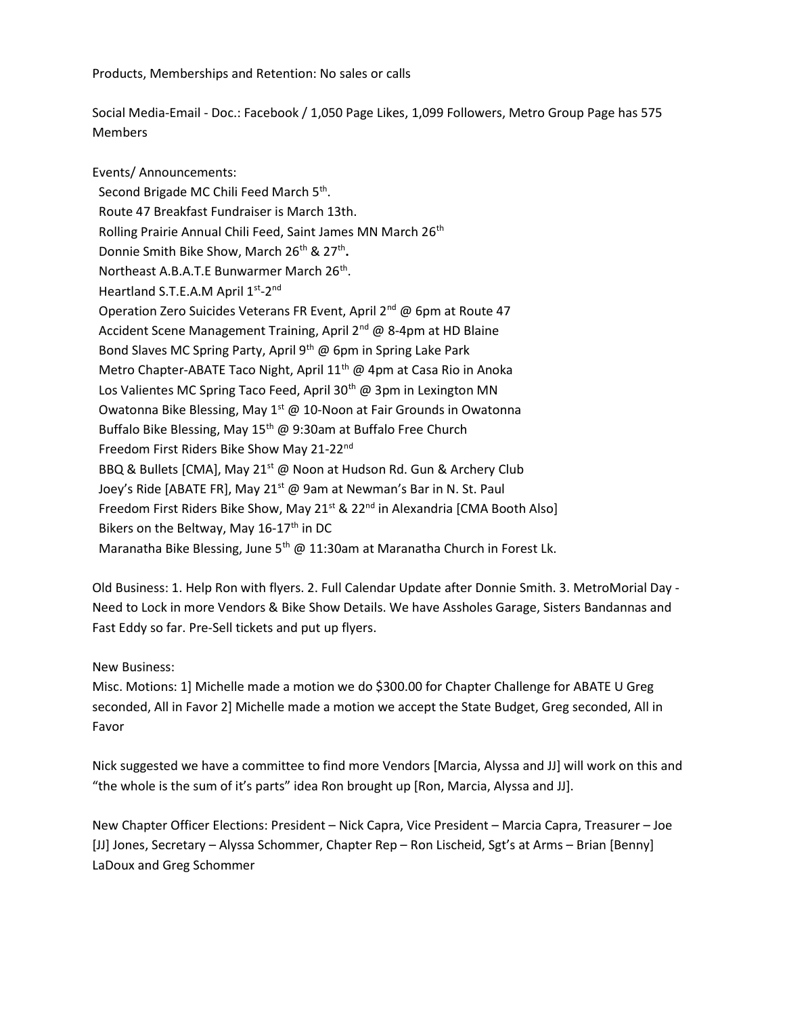Products, Memberships and Retention: No sales or calls

Social Media-Email - Doc.: Facebook / 1,050 Page Likes, 1,099 Followers, Metro Group Page has 575 **Members** 

Events/ Announcements: Second Brigade MC Chili Feed March 5<sup>th</sup>. Route 47 Breakfast Fundraiser is March 13th. Rolling Prairie Annual Chili Feed, Saint James MN March 26<sup>th</sup> Donnie Smith Bike Show, March 26<sup>th</sup> & 27<sup>th</sup>. Northeast A.B.A.T.E Bunwarmer March 26<sup>th</sup>. Heartland S.T.E.A.M April 1<sup>st</sup>-2<sup>nd</sup> Operation Zero Suicides Veterans FR Event, April 2<sup>nd</sup> @ 6pm at Route 47 Accident Scene Management Training, April  $2^{nd}$  @ 8-4pm at HD Blaine Bond Slaves MC Spring Party, April 9<sup>th</sup> @ 6pm in Spring Lake Park Metro Chapter-ABATE Taco Night, April  $11<sup>th</sup>$  @ 4pm at Casa Rio in Anoka Los Valientes MC Spring Taco Feed, April 30<sup>th</sup> @ 3pm in Lexington MN Owatonna Bike Blessing, May  $1^{st}$  @ 10-Noon at Fair Grounds in Owatonna Buffalo Bike Blessing, May 15<sup>th</sup> @ 9:30am at Buffalo Free Church Freedom First Riders Bike Show May 21-22<sup>nd</sup> BBQ & Bullets [CMA], May 21<sup>st</sup> @ Noon at Hudson Rd. Gun & Archery Club Joey's Ride [ABATE FR], May 21<sup>st</sup> @ 9am at Newman's Bar in N. St. Paul Freedom First Riders Bike Show, May 21<sup>st</sup> & 22<sup>nd</sup> in Alexandria [CMA Booth Also] Bikers on the Beltway, May 16-17<sup>th</sup> in DC Maranatha Bike Blessing, June 5<sup>th</sup> @ 11:30am at Maranatha Church in Forest Lk.

Old Business: 1. Help Ron with flyers. 2. Full Calendar Update after Donnie Smith. 3. MetroMorial Day - Need to Lock in more Vendors & Bike Show Details. We have Assholes Garage, Sisters Bandannas and Fast Eddy so far. Pre-Sell tickets and put up flyers.

New Business:

Misc. Motions: 1] Michelle made a motion we do \$300.00 for Chapter Challenge for ABATE U Greg seconded, All in Favor 2] Michelle made a motion we accept the State Budget, Greg seconded, All in Favor

Nick suggested we have a committee to find more Vendors [Marcia, Alyssa and JJ] will work on this and "the whole is the sum of it's parts" idea Ron brought up [Ron, Marcia, Alyssa and JJ].

New Chapter Officer Elections: President – Nick Capra, Vice President – Marcia Capra, Treasurer – Joe [JJ] Jones, Secretary – Alyssa Schommer, Chapter Rep – Ron Lischeid, Sgt's at Arms – Brian [Benny] LaDoux and Greg Schommer